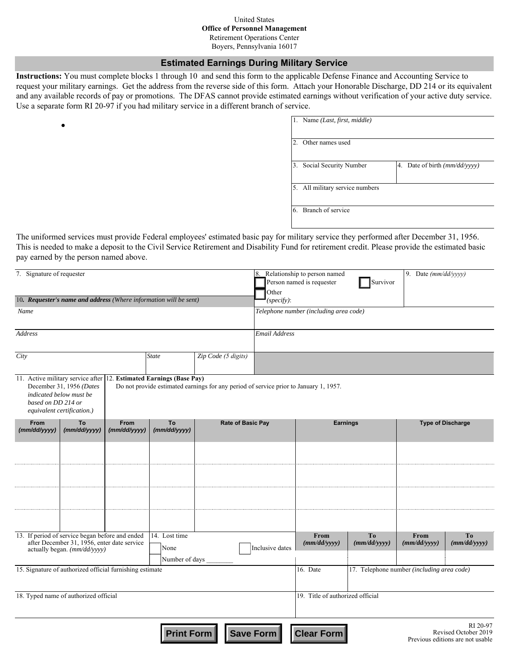#### United States **Office of Personnel Management** Retirement Operations Center

Boyers, Pennsylvania 16017

#### **Estimated Earnings During Military Service**

**Instructions:** You must complete blocks 1 through 10 and send this form to the applicable Defense Finance and Accounting Service to request your military earnings. Get the address from the reverse side of this form. Attach your Honorable Discharge, DD 214 or its equivalent and any available records of pay or promotions. The DFAS cannot provide estimated earnings without verification of your active duty service. Use a separate form RI 20-97 if you had military service in a different branch of service.

 $\bullet$ 

| 2. Other names used             |                                                    |
|---------------------------------|----------------------------------------------------|
| Social Security Number<br>3.    | 4. Date of birth $\left(\frac{mm}{dd}{\vee}$ yyyy) |
| 5. All military service numbers |                                                    |
| 6. Branch of service            |                                                    |

The uniformed services must provide Federal employees' estimated basic pay for military service they performed after December 31, 1956. This is needed to make a deposit to the Civil Service Retirement and Disability Fund for retirement credit. Please provide the estimated basic pay earned by the person named above.

| 7. Signature of requester                                                                                                      |                                                                                   |                        |                                                                     |                                                                                       | Other                                  | 8. Relationship to person named<br>Person named is requester | 9. Date (mm/dd/yyyy)                       |                                |                                                                      |  |
|--------------------------------------------------------------------------------------------------------------------------------|-----------------------------------------------------------------------------------|------------------------|---------------------------------------------------------------------|---------------------------------------------------------------------------------------|----------------------------------------|--------------------------------------------------------------|--------------------------------------------|--------------------------------|----------------------------------------------------------------------|--|
|                                                                                                                                |                                                                                   |                        | 10. Requester's name and address (Where information will be sent)   |                                                                                       | $(specify)$ :                          |                                                              |                                            |                                |                                                                      |  |
| Name                                                                                                                           |                                                                                   |                        |                                                                     |                                                                                       | Telephone number (including area code) |                                                              |                                            |                                |                                                                      |  |
| Address                                                                                                                        |                                                                                   |                        |                                                                     | <b>Email Address</b>                                                                  |                                        |                                                              |                                            |                                |                                                                      |  |
| City                                                                                                                           |                                                                                   |                        | <b>State</b>                                                        | Zip Code (5 digits)                                                                   |                                        |                                                              |                                            |                                |                                                                      |  |
| based on DD 214 or                                                                                                             | December 31, 1956 (Dates<br>indicated below must be<br>equivalent certification.) |                        | 11. Active military service after 12. Estimated Earnings (Base Pay) | Do not provide estimated earnings for any period of service prior to January 1, 1957. |                                        |                                                              |                                            |                                |                                                                      |  |
| From<br>(mm/dd/yyyy)                                                                                                           | To<br>(mm/dd/yyyy)                                                                | From<br>(mm/dd/yyyy)   | To<br>(mm/dd/yyyy)                                                  | <b>Rate of Basic Pay</b>                                                              |                                        | <b>Earnings</b>                                              |                                            | <b>Type of Discharge</b>       |                                                                      |  |
|                                                                                                                                |                                                                                   |                        |                                                                     |                                                                                       |                                        |                                                              |                                            |                                |                                                                      |  |
|                                                                                                                                |                                                                                   |                        |                                                                     |                                                                                       |                                        |                                                              |                                            |                                |                                                                      |  |
|                                                                                                                                |                                                                                   |                        |                                                                     |                                                                                       |                                        |                                                              |                                            |                                |                                                                      |  |
|                                                                                                                                |                                                                                   |                        | 14. Lost time                                                       |                                                                                       |                                        | From                                                         |                                            | From                           |                                                                      |  |
| 13. If period of service began before and ended<br>after December 31, 1956, enter date service<br>actually began. (mm/dd/yyyy) |                                                                                   | None<br>Number of days |                                                                     | Inclusive dates                                                                       | (mm/dd/yyyy)                           | To<br>(mm/dd/yyyy)                                           | (mm/dd/yyyy)                               | T <sub>0</sub><br>(mm/dd/yyyy) |                                                                      |  |
| 15. Signature of authorized official furnishing estimate                                                                       |                                                                                   |                        |                                                                     |                                                                                       | 16. Date                               |                                                              | 17. Telephone number (including area code) |                                |                                                                      |  |
| 18. Typed name of authorized official                                                                                          |                                                                                   |                        |                                                                     |                                                                                       | 19. Title of authorized official       |                                                              |                                            |                                |                                                                      |  |
|                                                                                                                                |                                                                                   |                        | <b>Print Form</b>                                                   |                                                                                       | <b>Save Form</b>                       | <b>Clear Form</b>                                            |                                            |                                | RI 20-97<br>Revised October 2019<br>Previous editions are not usable |  |